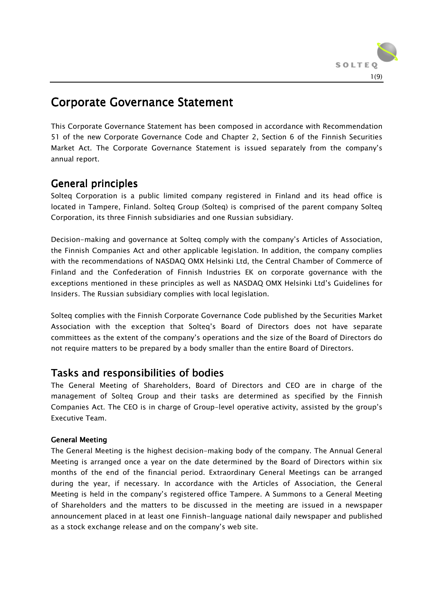

# **Corporate Governance Statement**

This Corporate Governance Statement has been composed in accordance with Recommendation 51 of the new Corporate Governance Code and Chapter 2, Section 6 of the Finnish Securities Market Act. The Corporate Governance Statement is issued separately from the company's annual report.

# General principles

Solteq Corporation is a public limited company registered in Finland and its head office is located in Tampere, Finland. Solteq Group (Solteq) is comprised of the parent company Solteq Corporation, its three Finnish subsidiaries and one Russian subsidiary.

Decision-making and governance at Solteq comply with the company's Articles of Association, the Finnish Companies Act and other applicable legislation. In addition, the company complies with the recommendations of NASDAQ OMX Helsinki Ltd, the Central Chamber of Commerce of Finland and the Confederation of Finnish Industries EK on corporate governance with the exceptions mentioned in these principles as well as NASDAQ OMX Helsinki Ltd's Guidelines for Insiders. The Russian subsidiary complies with local legislation.

Solteq complies with the Finnish Corporate Governance Code published by the Securities Market Association with the exception that Solteq's Board of Directors does not have separate committees as the extent of the company's operations and the size of the Board of Directors do not require matters to be prepared by a body smaller than the entire Board of Directors.

# Tasks and responsibilities of bodies

The General Meeting of Shareholders, Board of Directors and CEO are in charge of the management of Solteq Group and their tasks are determined as specified by the Finnish Companies Act. The CEO is in charge of Group-level operative activity, assisted by the group's Executive Team.

# General Meeting

The General Meeting is the highest decision-making body of the company. The Annual General Meeting is arranged once a year on the date determined by the Board of Directors within six months of the end of the financial period. Extraordinary General Meetings can be arranged during the year, if necessary. In accordance with the Articles of Association, the General Meeting is held in the company's registered office Tampere. A Summons to a General Meeting of Shareholders and the matters to be discussed in the meeting are issued in a newspaper announcement placed in at least one Finnish-language national daily newspaper and published as a stock exchange release and on the company's web site.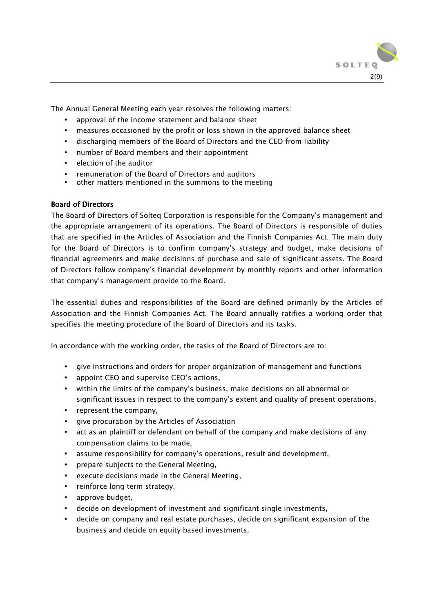

The Annual General Meeting each year resolves the following matters:

- approval of the income statement and balance sheet
- measures occasioned by the profit or loss shown in the approved balance sheet
- discharging members of the Board of Directors and the CEO from liability
- number of Board members and their appointment
- election of the auditor
- remuneration of the Board of Directors and auditors
- other matters mentioned in the summons to the meeting

# **Board of Directors**

The Board of Directors of Solteq Corporation is responsible for the Company's management and the appropriate arrangement of its operations. The Board of Directors is responsible of duties that are specified in the Articles of Association and the Finnish Companies Act. The main duty for the Board of Directors is to confirm company's strategy and budget, make decisions of financial agreements and make decisions of purchase and sale of significant assets. The Board of Directors follow company's financial development by monthly reports and other information that company's management provide to the Board.

The essential duties and responsibilities of the Board are defined primarily by the Articles of Association and the Finnish Companies Act. The Board annually ratifies a working order that specifies the meeting procedure of the Board of Directors and its tasks.

In accordance with the working order, the tasks of the Board of Directors are to:

- give instructions and orders for proper organization of management and functions
- appoint CEO and supervise CEO's actions,
- within the limits of the company's business, make decisions on all abnormal or significant issues in respect to the company's extent and quality of present operations,
- represent the company,
- give procuration by the Articles of Association
- act as an plaintiff or defendant on behalf of the company and make decisions of any compensation claims to be made,
- assume responsibility for company's operations, result and development,
- prepare subjects to the General Meeting,
- execute decisions made in the General Meeting,
- reinforce long term strategy,
- approve budget,
- decide on development of investment and significant single investments,
- decide on company and real estate purchases, decide on significant expansion of the business and decide on equity based investments,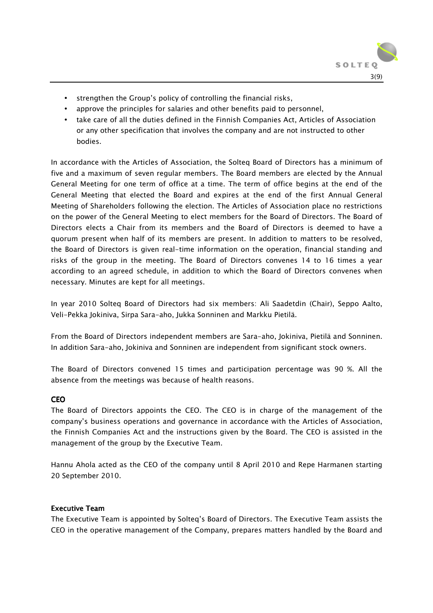

- strengthen the Group's policy of controlling the financial risks,
- approve the principles for salaries and other benefits paid to personnel,
- take care of all the duties defined in the Finnish Companies Act, Articles of Association or any other specification that involves the company and are not instructed to other bodies.

In accordance with the Articles of Association, the Solteq Board of Directors has a minimum of five and a maximum of seven regular members. The Board members are elected by the Annual General Meeting for one term of office at a time. The term of office begins at the end of the General Meeting that elected the Board and expires at the end of the first Annual General Meeting of Shareholders following the election. The Articles of Association place no restrictions on the power of the General Meeting to elect members for the Board of Directors. The Board of Directors elects a Chair from its members and the Board of Directors is deemed to have a quorum present when half of its members are present. In addition to matters to be resolved, the Board of Directors is given real-time information on the operation, financial standing and risks of the group in the meeting. The Board of Directors convenes 14 to 16 times a year according to an agreed schedule, in addition to which the Board of Directors convenes when necessary. Minutes are kept for all meetings.

In year 2010 Solteq Board of Directors had six members: Ali Saadetdin (Chair), Seppo Aalto, Veli-Pekka Jokiniva, Sirpa Sara-aho, Jukka Sonninen and Markku Pietilä.

From the Board of Directors independent members are Sara-aho, Jokiniva, Pietilä and Sonninen. In addition Sara-aho, Jokiniva and Sonninen are independent from significant stock owners.

The Board of Directors convened 15 times and participation percentage was 90 %. All the absence from the meetings was because of health reasons.

# CEO

The Board of Directors appoints the CEO. The CEO is in charge of the management of the company's business operations and governance in accordance with the Articles of Association, the Finnish Companies Act and the instructions given by the Board. The CEO is assisted in the management of the group by the Executive Team.

Hannu Ahola acted as the CEO of the company until 8 April 2010 and Repe Harmanen starting 20 September 2010.

## Executive Team

The Executive Team is appointed by Solteq's Board of Directors. The Executive Team assists the CEO in the operative management of the Company, prepares matters handled by the Board and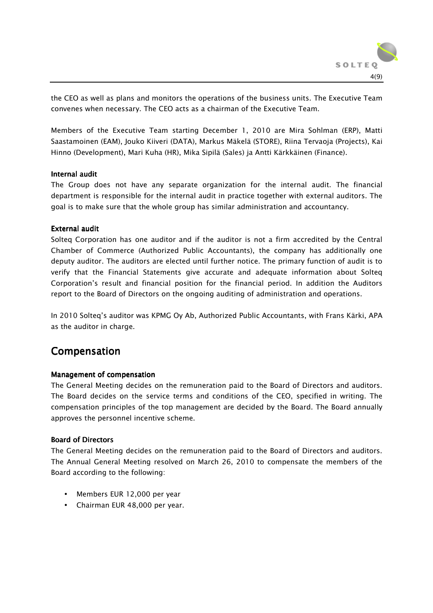

the CEO as well as plans and monitors the operations of the business units. The Executive Team convenes when necessary. The CEO acts as a chairman of the Executive Team.

Members of the Executive Team starting December 1, 2010 are Mira Sohlman (ERP), Matti Saastamoinen (EAM), Jouko Kiiveri (DATA), Markus Mäkelä (STORE), Riina Tervaoja (Projects), Kai Hinno (Development), Mari Kuha (HR), Mika Sipilä (Sales) ja Antti Kärkkäinen (Finance).

## Internal audit

The Group does not have any separate organization for the internal audit. The financial department is responsible for the internal audit in practice together with external auditors. The goal is to make sure that the whole group has similar administration and accountancy.

#### External audit

Solteq Corporation has one auditor and if the auditor is not a firm accredited by the Central Chamber of Commerce (Authorized Public Accountants), the company has additionally one deputy auditor. The auditors are elected until further notice. The primary function of audit is to verify that the Financial Statements give accurate and adequate information about Solteq Corporation's result and financial position for the financial period. In addition the Auditors report to the Board of Directors on the ongoing auditing of administration and operations.

In 2010 Solteq's auditor was KPMG Oy Ab, Authorized Public Accountants, with Frans Kärki, APA as the auditor in charge.

# Compensation

## Management of compensation

The General Meeting decides on the remuneration paid to the Board of Directors and auditors. The Board decides on the service terms and conditions of the CEO, specified in writing. The compensation principles of the top management are decided by the Board. The Board annually approves the personnel incentive scheme.

## **Board of Directors**

The General Meeting decides on the remuneration paid to the Board of Directors and auditors. The Annual General Meeting resolved on March 26, 2010 to compensate the members of the Board according to the following:

- Members EUR 12,000 per year
- Chairman EUR 48,000 per year.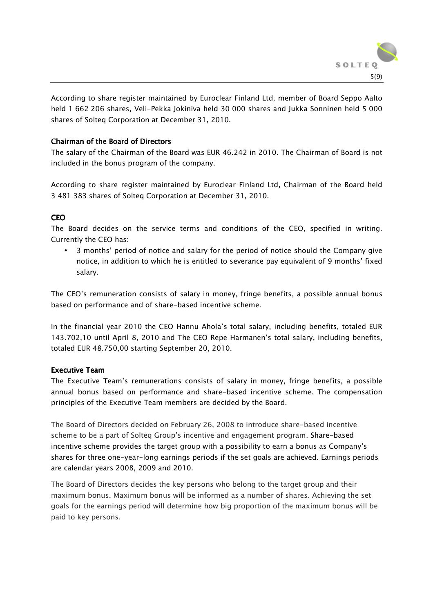

According to share register maintained by Euroclear Finland Ltd, member of Board Seppo Aalto held 1 662 206 shares, Veli-Pekka Jokiniva held 30 000 shares and Jukka Sonninen held 5 000 shares of Solteq Corporation at December 31, 2010.

# Chairman of the Board of Directors

The salary of the Chairman of the Board was EUR 46.242 in 2010. The Chairman of Board is not included in the bonus program of the company.

According to share register maintained by Euroclear Finland Ltd, Chairman of the Board held 3 481 383 shares of Solteq Corporation at December 31, 2010.

# **CEO**

The Board decides on the service terms and conditions of the CEO, specified in writing. Currently the CEO has:

• 3 months' period of notice and salary for the period of notice should the Company give notice, in addition to which he is entitled to severance pay equivalent of 9 months' fixed salary.

The CEO's remuneration consists of salary in money, fringe benefits, a possible annual bonus based on performance and of share-based incentive scheme.

In the financial year 2010 the CEO Hannu Ahola's total salary, including benefits, totaled EUR 143.702,10 until April 8, 2010 and The CEO Repe Harmanen's total salary, including benefits, totaled EUR 48.750,00 starting September 20, 2010.

## Executive Team

The Executive Team's remunerations consists of salary in money, fringe benefits, a possible annual bonus based on performance and share-based incentive scheme. The compensation principles of the Executive Team members are decided by the Board.

The Board of Directors decided on February 26, 2008 to introduce share-based incentive scheme to be a part of Solteq Group's incentive and engagement program. Share-based incentive scheme provides the target group with a possibility to earn a bonus as Company's shares for three one-year-long earnings periods if the set goals are achieved. Earnings periods are calendar years 2008, 2009 and 2010.

The Board of Directors decides the key persons who belong to the target group and their maximum bonus. Maximum bonus will be informed as a number of shares. Achieving the set goals for the earnings period will determine how big proportion of the maximum bonus will be paid to key persons.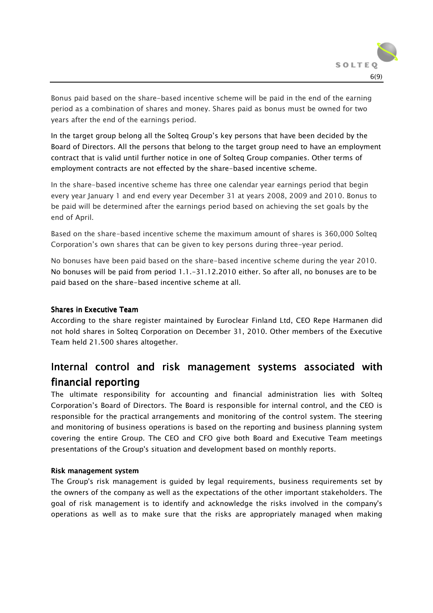

Bonus paid based on the share-based incentive scheme will be paid in the end of the earning period as a combination of shares and money. Shares paid as bonus must be owned for two years after the end of the earnings period.

In the target group belong all the Solteq Group's key persons that have been decided by the Board of Directors. All the persons that belong to the target group need to have an employment contract that is valid until further notice in one of Solteq Group companies. Other terms of employment contracts are not effected by the share-based incentive scheme.

In the share-based incentive scheme has three one calendar year earnings period that begin every year January 1 and end every year December 31 at years 2008, 2009 and 2010. Bonus to be paid will be determined after the earnings period based on achieving the set goals by the end of April.

Based on the share-based incentive scheme the maximum amount of shares is 360,000 Solteq Corporation's own shares that can be given to key persons during three-year period.

No bonuses have been paid based on the share-based incentive scheme during the year 2010. No bonuses will be paid from period 1.1.-31.12.2010 either. So after all, no bonuses are to be paid based on the share-based incentive scheme at all.

## Shares in Executive Team

According to the share register maintained by Euroclear Finland Ltd, CEO Repe Harmanen did not hold shares in Solteq Corporation on December 31, 2010. Other members of the Executive Team held 21.500 shares altogether.

# Internal control and risk management systems associated with financial reporting

The ultimate responsibility for accounting and financial administration lies with Solteq Corporation's Board of Directors. The Board is responsible for internal control, and the CEO is responsible for the practical arrangements and monitoring of the control system. The steering and monitoring of business operations is based on the reporting and business planning system covering the entire Group. The CEO and CFO give both Board and Executive Team meetings presentations of the Group's situation and development based on monthly reports.

## Risk management system

The Group's risk management is guided by legal requirements, business requirements set by the owners of the company as well as the expectations of the other important stakeholders. The goal of risk management is to identify and acknowledge the risks involved in the company's operations as well as to make sure that the risks are appropriately managed when making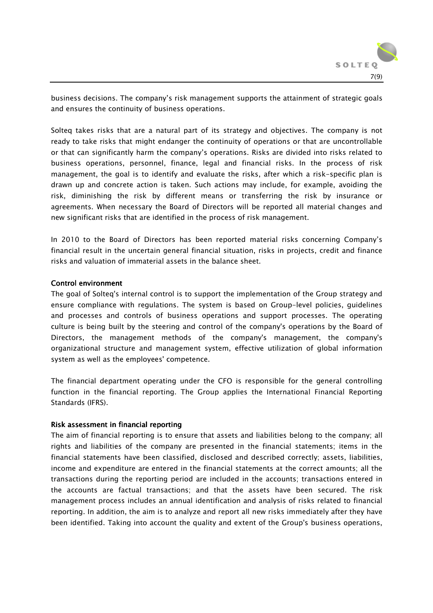

business decisions. The company's risk management supports the attainment of strategic goals and ensures the continuity of business operations.

Solteq takes risks that are a natural part of its strategy and objectives. The company is not ready to take risks that might endanger the continuity of operations or that are uncontrollable or that can significantly harm the company's operations. Risks are divided into risks related to business operations, personnel, finance, legal and financial risks. In the process of risk management, the goal is to identify and evaluate the risks, after which a risk-specific plan is drawn up and concrete action is taken. Such actions may include, for example, avoiding the risk, diminishing the risk by different means or transferring the risk by insurance or agreements. When necessary the Board of Directors will be reported all material changes and new significant risks that are identified in the process of risk management.

In 2010 to the Board of Directors has been reported material risks concerning Company's financial result in the uncertain general financial situation, risks in projects, credit and finance risks and valuation of immaterial assets in the balance sheet.

#### Control environment Control environment

The goal of Solteq's internal control is to support the implementation of the Group strategy and ensure compliance with regulations. The system is based on Group-level policies, guidelines and processes and controls of business operations and support processes. The operating culture is being built by the steering and control of the company's operations by the Board of Directors, the management methods of the company's management, the company's organizational structure and management system, effective utilization of global information system as well as the employees' competence.

The financial department operating under the CFO is responsible for the general controlling function in the financial reporting. The Group applies the International Financial Reporting Standards (IFRS).

## Risk assessment in financial reporting

The aim of financial reporting is to ensure that assets and liabilities belong to the company; all rights and liabilities of the company are presented in the financial statements; items in the financial statements have been classified, disclosed and described correctly; assets, liabilities, income and expenditure are entered in the financial statements at the correct amounts; all the transactions during the reporting period are included in the accounts; transactions entered in the accounts are factual transactions; and that the assets have been secured. The risk management process includes an annual identification and analysis of risks related to financial reporting. In addition, the aim is to analyze and report all new risks immediately after they have been identified. Taking into account the quality and extent of the Group's business operations,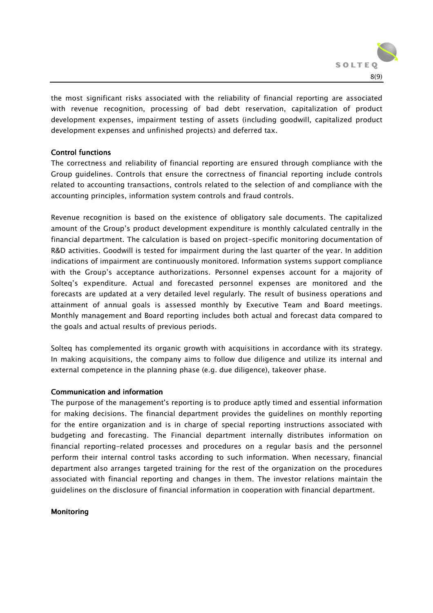

the most significant risks associated with the reliability of financial reporting are associated with revenue recognition, processing of bad debt reservation, capitalization of product development expenses, impairment testing of assets (including goodwill, capitalized product development expenses and unfinished projects) and deferred tax.

# **Control functions**

The correctness and reliability of financial reporting are ensured through compliance with the Group guidelines. Controls that ensure the correctness of financial reporting include controls related to accounting transactions, controls related to the selection of and compliance with the accounting principles, information system controls and fraud controls.

Revenue recognition is based on the existence of obligatory sale documents. The capitalized amount of the Group's product development expenditure is monthly calculated centrally in the financial department. The calculation is based on project-specific monitoring documentation of R&D activities. Goodwill is tested for impairment during the last quarter of the year. In addition indications of impairment are continuously monitored. Information systems support compliance with the Group's acceptance authorizations. Personnel expenses account for a majority of Solteq's expenditure. Actual and forecasted personnel expenses are monitored and the forecasts are updated at a very detailed level regularly. The result of business operations and attainment of annual goals is assessed monthly by Executive Team and Board meetings. Monthly management and Board reporting includes both actual and forecast data compared to the goals and actual results of previous periods.

Solteq has complemented its organic growth with acquisitions in accordance with its strategy. In making acquisitions, the company aims to follow due diligence and utilize its internal and external competence in the planning phase (e.g. due diligence), takeover phase.

## Communication and information

The purpose of the management's reporting is to produce aptly timed and essential information for making decisions. The financial department provides the guidelines on monthly reporting for the entire organization and is in charge of special reporting instructions associated with budgeting and forecasting. The Financial department internally distributes information on financial reporting-related processes and procedures on a regular basis and the personnel perform their internal control tasks according to such information. When necessary, financial department also arranges targeted training for the rest of the organization on the procedures associated with financial reporting and changes in them. The investor relations maintain the guidelines on the disclosure of financial information in cooperation with financial department.

## **Monitoring**